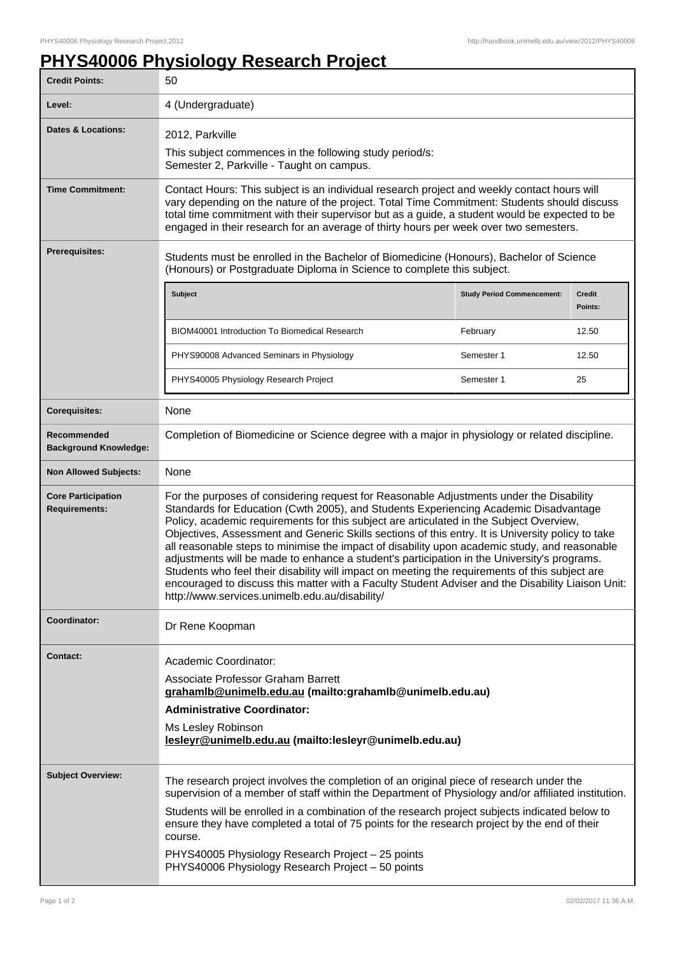## **PHYS40006 Physiology Research Project**

| <b>Credit Points:</b>                             | 50                                                                                                                                                                                                                                                                                                                                                                                                                                                                                                                                                                                                                                                                                                                                                                                                                                       |                                   |                   |
|---------------------------------------------------|------------------------------------------------------------------------------------------------------------------------------------------------------------------------------------------------------------------------------------------------------------------------------------------------------------------------------------------------------------------------------------------------------------------------------------------------------------------------------------------------------------------------------------------------------------------------------------------------------------------------------------------------------------------------------------------------------------------------------------------------------------------------------------------------------------------------------------------|-----------------------------------|-------------------|
| Level:                                            | 4 (Undergraduate)                                                                                                                                                                                                                                                                                                                                                                                                                                                                                                                                                                                                                                                                                                                                                                                                                        |                                   |                   |
| Dates & Locations:                                | 2012, Parkville<br>This subject commences in the following study period/s:<br>Semester 2, Parkville - Taught on campus.                                                                                                                                                                                                                                                                                                                                                                                                                                                                                                                                                                                                                                                                                                                  |                                   |                   |
| <b>Time Commitment:</b>                           | Contact Hours: This subject is an individual research project and weekly contact hours will<br>vary depending on the nature of the project. Total Time Commitment: Students should discuss<br>total time commitment with their supervisor but as a guide, a student would be expected to be<br>engaged in their research for an average of thirty hours per week over two semesters.                                                                                                                                                                                                                                                                                                                                                                                                                                                     |                                   |                   |
| <b>Prerequisites:</b>                             | Students must be enrolled in the Bachelor of Biomedicine (Honours), Bachelor of Science<br>(Honours) or Postgraduate Diploma in Science to complete this subject.                                                                                                                                                                                                                                                                                                                                                                                                                                                                                                                                                                                                                                                                        |                                   |                   |
|                                                   | <b>Subject</b>                                                                                                                                                                                                                                                                                                                                                                                                                                                                                                                                                                                                                                                                                                                                                                                                                           | <b>Study Period Commencement:</b> | Credit<br>Points: |
|                                                   | <b>BIOM40001 Introduction To Biomedical Research</b>                                                                                                                                                                                                                                                                                                                                                                                                                                                                                                                                                                                                                                                                                                                                                                                     | February                          | 12.50             |
|                                                   | PHYS90008 Advanced Seminars in Physiology                                                                                                                                                                                                                                                                                                                                                                                                                                                                                                                                                                                                                                                                                                                                                                                                | Semester 1                        | 12.50             |
|                                                   | PHYS40005 Physiology Research Project                                                                                                                                                                                                                                                                                                                                                                                                                                                                                                                                                                                                                                                                                                                                                                                                    | Semester 1                        | 25                |
| <b>Corequisites:</b>                              | None                                                                                                                                                                                                                                                                                                                                                                                                                                                                                                                                                                                                                                                                                                                                                                                                                                     |                                   |                   |
| Recommended<br><b>Background Knowledge:</b>       | Completion of Biomedicine or Science degree with a major in physiology or related discipline.                                                                                                                                                                                                                                                                                                                                                                                                                                                                                                                                                                                                                                                                                                                                            |                                   |                   |
| <b>Non Allowed Subjects:</b>                      | None                                                                                                                                                                                                                                                                                                                                                                                                                                                                                                                                                                                                                                                                                                                                                                                                                                     |                                   |                   |
| <b>Core Participation</b><br><b>Requirements:</b> | For the purposes of considering request for Reasonable Adjustments under the Disability<br>Standards for Education (Cwth 2005), and Students Experiencing Academic Disadvantage<br>Policy, academic requirements for this subject are articulated in the Subject Overview,<br>Objectives, Assessment and Generic Skills sections of this entry. It is University policy to take<br>all reasonable steps to minimise the impact of disability upon academic study, and reasonable<br>adjustments will be made to enhance a student's participation in the University's programs.<br>Students who feel their disability will impact on meeting the requirements of this subject are<br>encouraged to discuss this matter with a Faculty Student Adviser and the Disability Liaison Unit:<br>http://www.services.unimelb.edu.au/disability/ |                                   |                   |
| Coordinator:                                      | Dr Rene Koopman                                                                                                                                                                                                                                                                                                                                                                                                                                                                                                                                                                                                                                                                                                                                                                                                                          |                                   |                   |
| <b>Contact:</b>                                   | Academic Coordinator:<br>Associate Professor Graham Barrett<br>grahamlb@unimelb.edu.au (mailto:grahamlb@unimelb.edu.au)<br><b>Administrative Coordinator:</b><br>Ms Lesley Robinson<br>lesleyr@unimelb.edu.au (mailto:lesleyr@unimelb.edu.au)                                                                                                                                                                                                                                                                                                                                                                                                                                                                                                                                                                                            |                                   |                   |
| <b>Subject Overview:</b>                          | The research project involves the completion of an original piece of research under the<br>supervision of a member of staff within the Department of Physiology and/or affiliated institution.<br>Students will be enrolled in a combination of the research project subjects indicated below to<br>ensure they have completed a total of 75 points for the research project by the end of their<br>course.<br>PHYS40005 Physiology Research Project - 25 points<br>PHYS40006 Physiology Research Project - 50 points                                                                                                                                                                                                                                                                                                                    |                                   |                   |